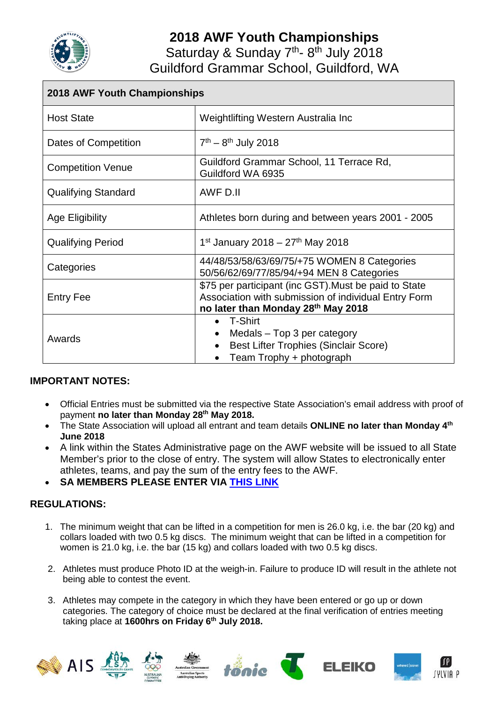

# **2018 AWF Youth Championships**

Saturday & Sunday 7<sup>th</sup>-8<sup>th</sup> July 2018 Guildford Grammar School, Guildford, WA

| <b>2018 AWF Youth Championships</b> |                                                                                                                                                     |  |
|-------------------------------------|-----------------------------------------------------------------------------------------------------------------------------------------------------|--|
| <b>Host State</b>                   | Weightlifting Western Australia Inc                                                                                                                 |  |
| Dates of Competition                | $7th - 8th$ July 2018                                                                                                                               |  |
| <b>Competition Venue</b>            | Guildford Grammar School, 11 Terrace Rd,<br>Guildford WA 6935                                                                                       |  |
| <b>Qualifying Standard</b>          | AWF D.II                                                                                                                                            |  |
| Age Eligibility                     | Athletes born during and between years 2001 - 2005                                                                                                  |  |
| <b>Qualifying Period</b>            | 1 <sup>st</sup> January 2018 – 27 <sup>th</sup> May 2018                                                                                            |  |
| Categories                          | 44/48/53/58/63/69/75/+75 WOMEN 8 Categories<br>50/56/62/69/77/85/94/+94 MEN 8 Categories                                                            |  |
| <b>Entry Fee</b>                    | \$75 per participant (inc GST). Must be paid to State<br>Association with submission of individual Entry Form<br>no later than Monday 28th May 2018 |  |
| Awards                              | • T-Shirt<br>Medals – Top 3 per category<br><b>Best Lifter Trophies (Sinclair Score)</b><br>Team Trophy + photograph                                |  |

#### **IMPORTANT NOTES:**

- Official Entries must be submitted via the respective State Association's email address with proof of payment **no later than Monday 28th May 2018.**
- The State Association will upload all entrant and team details **ONLINE no later than Monday 4th June 2018**
- A link within the States Administrative page on the AWF website will be issued to all State Member's prior to the close of entry. The system will allow States to electronically enter athletes, teams, and pay the sum of the entry fees to the AWF.
- **SA MEMBERS PLEASE ENTER VIA [THIS LINK](https://www.cognitoforms.com/SouthAustralianWeightliftingAssociation/AustralianChampionshipsEntryForm)**

### **REGULATIONS:**

- 1. The minimum weight that can be lifted in a competition for men is 26.0 kg, i.e. the bar (20 kg) and collars loaded with two 0.5 kg discs. The minimum weight that can be lifted in a competition for women is 21.0 kg, i.e. the bar (15 kg) and collars loaded with two 0.5 kg discs.
- 2. Athletes must produce Photo ID at the weigh-in. Failure to produce ID will result in the athlete not being able to contest the event.
- 3. Athletes may compete in the category in which they have been entered or go up or down categories. The category of choice must be declared at the final verification of entries meeting taking place at **1600hrs on Friday 6th July 2018.**

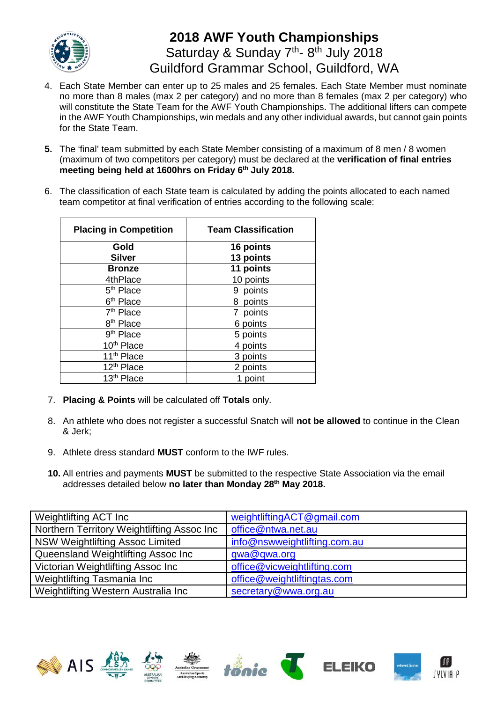

### **2018 AWF Youth Championships** Saturday & Sunday 7<sup>th</sup>-8<sup>th</sup> July 2018 Guildford Grammar School, Guildford, WA

- 4. Each State Member can enter up to 25 males and 25 females. Each State Member must nominate no more than 8 males (max 2 per category) and no more than 8 females (max 2 per category) who will constitute the State Team for the AWF Youth Championships. The additional lifters can compete in the AWF Youth Championships, win medals and any other individual awards, but cannot gain points for the State Team.
- **5.** The 'final' team submitted by each State Member consisting of a maximum of 8 men / 8 women (maximum of two competitors per category) must be declared at the **verification of final entries meeting being held at 1600hrs on Friday 6th July 2018.**
- 6. The classification of each State team is calculated by adding the points allocated to each named team competitor at final verification of entries according to the following scale:

| <b>Placing in Competition</b> | <b>Team Classification</b> |
|-------------------------------|----------------------------|
| Gold                          | 16 points                  |
| <b>Silver</b>                 | 13 points                  |
| <b>Bronze</b>                 | 11 points                  |
| 4thPlace                      | 10 points                  |
| 5 <sup>th</sup> Place         | points<br>9                |
| 6 <sup>th</sup> Place         | points<br>8                |
| 7 <sup>th</sup> Place         | points                     |
| 8 <sup>th</sup> Place         | 6 points                   |
| 9 <sup>th</sup> Place         | 5 points                   |
| 10 <sup>th</sup> Place        | 4 points                   |
| 11 <sup>th</sup> Place        | 3 points                   |
| 12 <sup>th</sup> Place        | 2 points                   |
| 13 <sup>th</sup> Place        | point                      |

- 7. **Placing & Points** will be calculated off **Totals** only.
- 8. An athlete who does not register a successful Snatch will **not be allowed** to continue in the Clean & Jerk;
- 9. Athlete dress standard **MUST** conform to the IWF rules.
- **10.** All entries and payments **MUST** be submitted to the respective State Association via the email addresses detailed below **no later than Monday 28th May 2018.**

| Weightlifting ACT Inc                      | weightliftingACT@gmail.com   |
|--------------------------------------------|------------------------------|
| Northern Territory Weightlifting Assoc Inc | office@ntwa.net.au           |
| <b>NSW Weightlifting Assoc Limited</b>     | info@nswweightlifting.com.au |
| Queensland Weightlifting Assoc Inc         | qwa@qwa.org                  |
| Victorian Weightlifting Assoc Inc          | office@vicweightlifting.com  |
| Weightlifting Tasmania Inc                 | office@weightliftingtas.com  |
| Weightlifting Western Australia Inc        | secretary@wwa.org.au         |











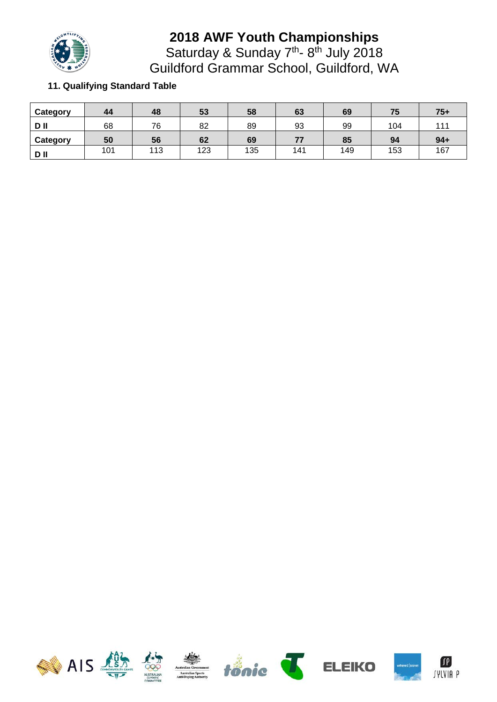

# **2018 AWF Youth Championships**

Saturday & Sunday 7<sup>th</sup>- 8<sup>th</sup> July 2018 Guildford Grammar School, Guildford, WA

### **11. Qualifying Standard Table**

| Category | 44  | 48  | 53  | 58  | 63  | 69  | 75  | $75+$ |
|----------|-----|-----|-----|-----|-----|-----|-----|-------|
| D II     | 68  | 76  | 82  | 89  | 93  | 99  | 104 | 444   |
| Category | 50  | 56  | 62  | 69  | 77  | 85  | 94  | $94+$ |
| D II     | 101 | 113 | 123 | 135 | 141 | 149 | 153 | 167   |